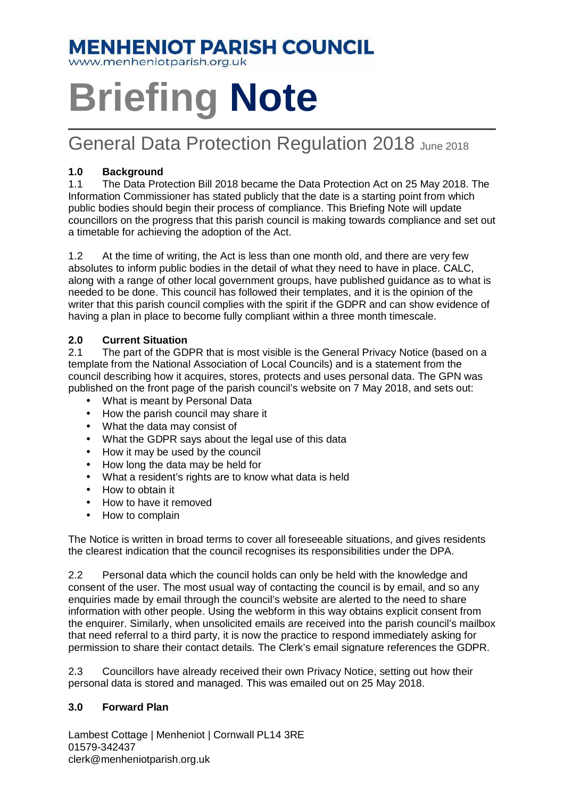## **MENHENIOT PARISH COUNCIL**

www.menheniotparish.org.uk

# **Briefing Note**

### General Data Protection Regulation 2018 June 2018

#### **1.0 Background**

1.1 The Data Protection Bill 2018 became the Data Protection Act on 25 May 2018. The Information Commissioner has stated publicly that the date is a starting point from which public bodies should begin their process of compliance. This Briefing Note will update councillors on the progress that this parish council is making towards compliance and set out a timetable for achieving the adoption of the Act.

1.2 At the time of writing, the Act is less than one month old, and there are very few absolutes to inform public bodies in the detail of what they need to have in place. CALC, along with a range of other local government groups, have published guidance as to what is needed to be done. This council has followed their templates, and it is the opinion of the writer that this parish council complies with the spirit if the GDPR and can show evidence of having a plan in place to become fully compliant within a three month timescale.

#### **2.0 Current Situation**

2.1 The part of the GDPR that is most visible is the General Privacy Notice (based on a template from the National Association of Local Councils) and is a statement from the council describing how it acquires, stores, protects and uses personal data. The GPN was published on the front page of the parish council's website on 7 May 2018, and sets out:

- What is meant by Personal Data
- How the parish council may share it
- What the data may consist of
- What the GDPR says about the legal use of this data
- How it may be used by the council
- How long the data may be held for
- What a resident's rights are to know what data is held
- How to obtain it
- How to have it removed
- How to complain

The Notice is written in broad terms to cover all foreseeable situations, and gives residents the clearest indication that the council recognises its responsibilities under the DPA.

2.2 Personal data which the council holds can only be held with the knowledge and consent of the user. The most usual way of contacting the council is by email, and so any enquiries made by email through the council's website are alerted to the need to share information with other people. Using the webform in this way obtains explicit consent from the enquirer. Similarly, when unsolicited emails are received into the parish council's mailbox that need referral to a third party, it is now the practice to respond immediately asking for permission to share their contact details. The Clerk's email signature references the GDPR.

2.3 Councillors have already received their own Privacy Notice, setting out how their personal data is stored and managed. This was emailed out on 25 May 2018.

#### **3.0 Forward Plan**

Lambest Cottage | Menheniot | Cornwall PL14 3RE 01579-342437 clerk@menheniotparish.org.uk